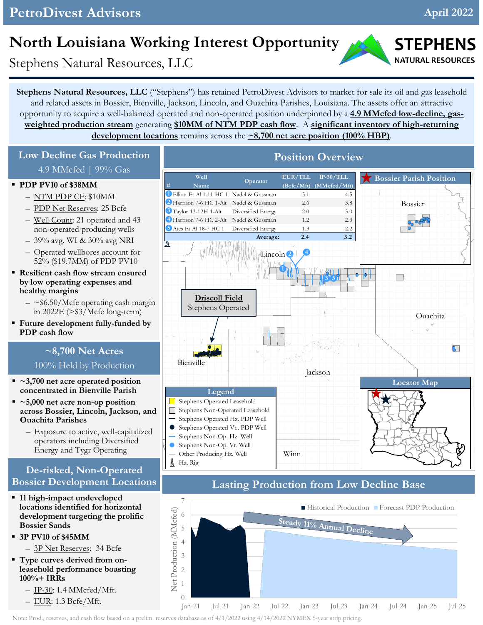## **PetroDivest Advisors April 2022**

# **North Louisiana Working Interest Opportunity**

Stephens Natural Resources, LLC

**Stephens Natural Resources, LLC** ("Stephens") has retained PetroDivest Advisors to market for sale its oil and gas leasehold and related assets in Bossier, Bienville, Jackson, Lincoln, and Ouachita Parishes, Louisiana. The assets offer an attractive opportunity to acquire a well-balanced operated and non-operated position underpinned by a **4.9 MMcfed low-decline, gasweighted production stream** generating **\$10MM of NTM PDP cash flow**. A **significant inventory of high-returning development locations** remains across the **~8,700 net acre position (100% HBP)**.

2 Harrison 7-6 HC 1-Alt Nadel & Gussman 2.6 3.8

<sup>3</sup> Taylor 13-12H 1-Alt Diversified Energy 2.0 3.0 **3** <sup>4</sup> Harrison 7-6 HC 2-Alt Nadel & Gussman 1.2 2.3 **4** 5 Ates Et Al 18-7 HC 1 Diversified Energy 1.3 2.2

1 Elliott Et Al 1-11 HC 1 Nadel & Gussman 5.1 4.5

**Operator**

**Well EUR/TLL IP-30/TLL** Mame  $\frac{Opt4at}{Opt4at}$  (Bcfe/Mft) (MMcfed/Mft)

### **Low Decline Gas Production** 4.9 MMcfed | 99% Gas

#### **PDP PV10 of \$38MM**

- NTM PDP CF: \$10MM
- PDP Net Reserves: 25 Bcfe
- Well Count: 21 operated and 43 non-operated producing wells
- 39% avg. WI & 30% avg NRI
- Operated wellbores account for 52% (\$19.7MM) of PDP PV10
- **Resilient cash flow stream ensured by low operating expenses and healthy margins**
	- $-$  ~\$6.50/Mcfe operating cash margin in 2022E (>\$3/Mcfe long-term)
- **Future development fully-funded by PDP cash flow**

## **~8,700 Net Acres**

#### 100% Held by Production

- **~3,700 net acre operated position concentrated in Bienville Parish**
- **~5,000 net acre non-op position across Bossier, Lincoln, Jackson, and Ouachita Parishes**
	- Exposure to active, well-capitalized operators including Diversified Energy and Tygr Operating

### **De-risked, Non-Operated Bossier Development Locations**

- **11 high-impact undeveloped locations identified for horizontal development targeting the prolific Bossier Sands**
- **3P PV10 of \$45MM**
	- 3P Net Reserves: 34 Bcfe
- **Type curves derived from onleasehold performance boasting 100%+ IRRs**
	- IP-30: 1.4 MMcfed/Mft.
	- EUR: 1.3 Bcfe/Mft.



Bienville

 $\stackrel{1}{\otimes}$  Hz. Rig

 $\bullet$ 

Stephens Operated Leasehold Stephens Non-Operated Leasehold Stephens Operated Hz. PDP Well Stephens Operated Vt.. PDP Well Stephens Non-Op. Hz. Well Stephens Non-Op. Vt. Well Other Producing Hz. Well

**Legend**



Union

 $\Box$ 

**Bossier Parish Position**

Bossier

Ouachita

 $\overline{B}$ 

### **Lasting Production from Low Decline Base**

Winn

Lincoln **2 4**

**Average: 2.4 3.2** 

**Position Overview**



#### Note: Prod., reserves, and cash flow based on a prelim. reserves database as of 4/1/2022 using 4/14/2022 NYMEX 5-year strip pricing.